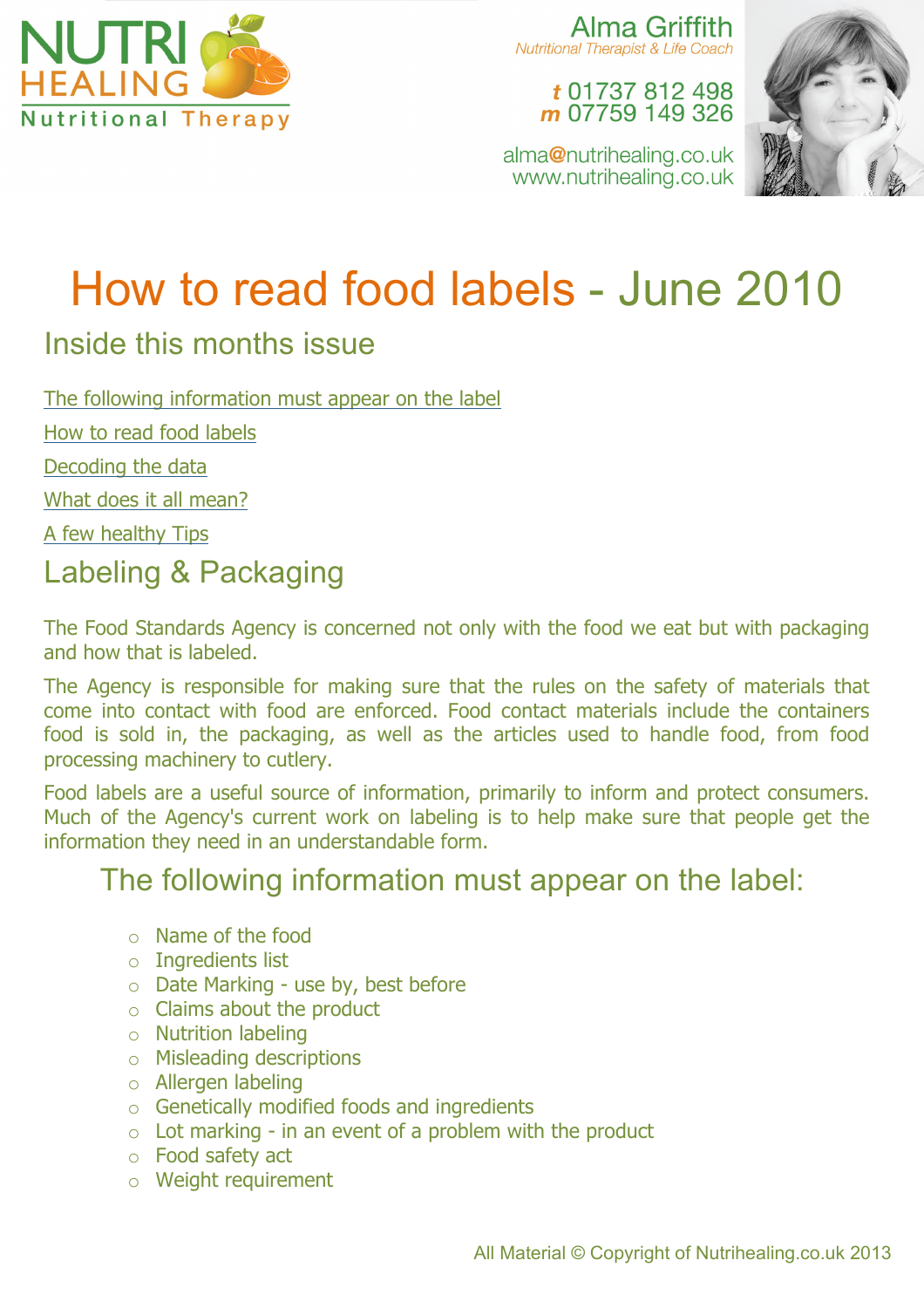

Alma Griffith **Nutritional Therapist & Life Coach** 

t 01737 812 498 m 07759 149 326

alma@nutrihealing.co.uk www.nutrihealing.co.uk



# How to read food labels - June 2010

## Inside this months issue

The following information must appear on the label

How to read food labels

Decoding the data

What does it all mean?

A few healthy Tips

# Labeling & Packaging

The Food Standards Agency is concerned not only with the food we eat but with packaging and how that is labeled.

The Agency is responsible for making sure that the rules on the safety of materials that come into contact with food are enforced. Food contact materials include the containers food is sold in, the packaging, as well as the articles used to handle food, from food processing machinery to cutlery.

Food labels are a useful source of information, primarily to inform and protect consumers. Much of the Agency's current work on labeling is to help make sure that people get the information they need in an understandable form.

## The following information must appear on the label:

- o Name of the food
- o Ingredients list
- o Date Marking use by, best before
- o Claims about the product
- o Nutrition labeling
- o Misleading descriptions
- o Allergen labeling
- o Genetically modified foods and ingredients
- $\circ$  Lot marking in an event of a problem with the product
- o Food safety act
- o Weight requirement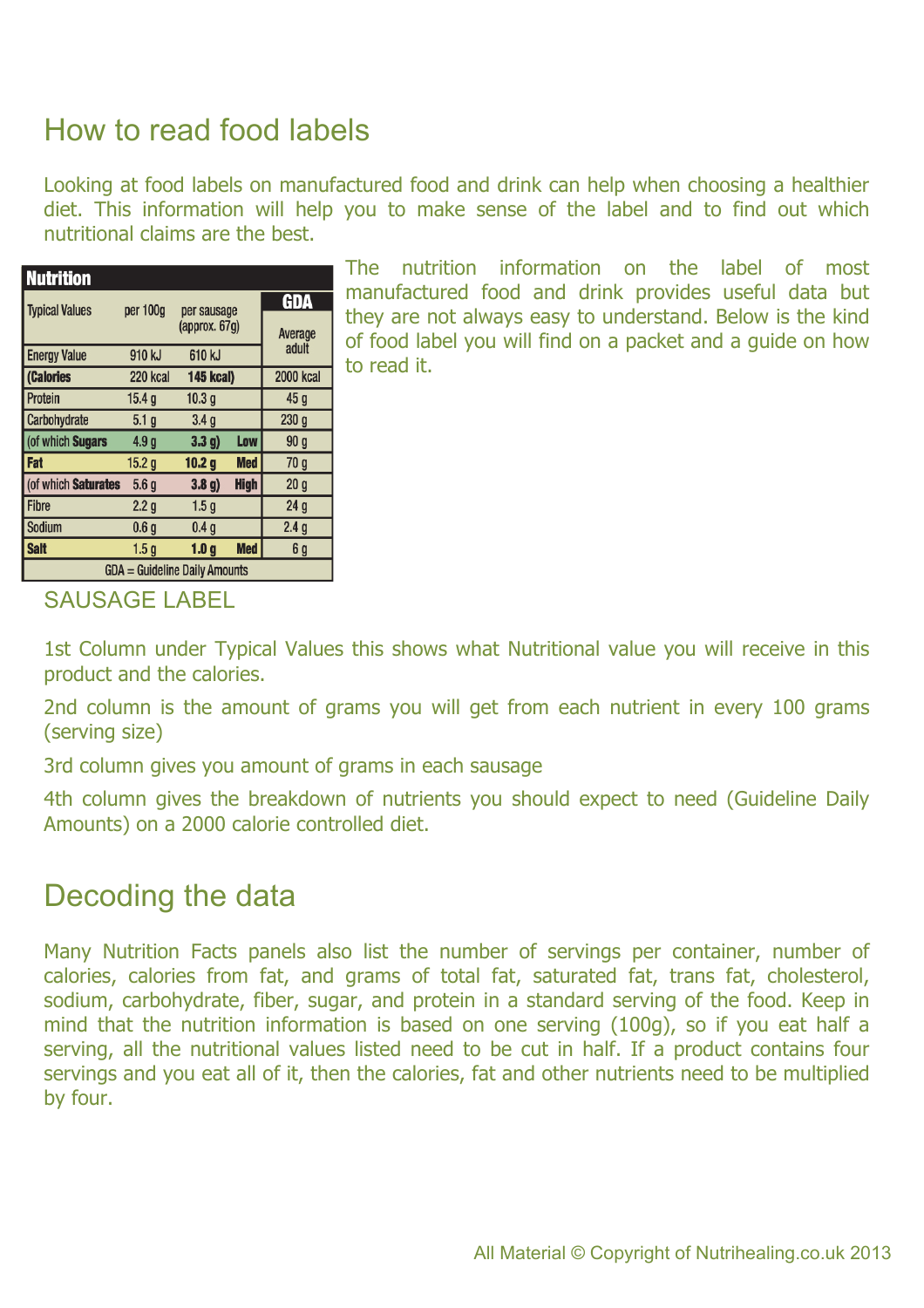# How to read food labels

Looking at food labels on manufactured food and drink can help when choosing a healthier diet. This information will help you to make sense of the label and to find out which nutritional claims are the best.

| <b>Nutrition</b>              |                   |                                        |             |                  |
|-------------------------------|-------------------|----------------------------------------|-------------|------------------|
| <b>Typical Values</b>         | per 100g          | per sausage<br>(approx. 67g)<br>610 kJ |             | GDA              |
|                               |                   |                                        |             | Average<br>adult |
| <b>Energy Value</b>           | 910 kJ            |                                        |             |                  |
| (Calories                     | 220 kcal          | <b>145 kcal)</b>                       |             | <b>2000 kcal</b> |
| Protein                       | 15.4 <sub>q</sub> | 10.3 <sub>q</sub>                      |             | 45 <sub>q</sub>  |
| Carbohydrate                  | 5.1 <sub>q</sub>  | 3.4 <sub>g</sub>                       |             | 230 <sub>g</sub> |
| (of which Sugars              | 4.9 g             | 3.3 <sub>q</sub>                       | Low         | 90 a             |
| <b>Fat</b>                    | 15.2 <sub>g</sub> | 10.2 <sub>g</sub>                      | Med         | 70 a             |
| (of which Saturates           | 5.6 <sub>g</sub>  | 3.8 <sub>g</sub>                       | <b>High</b> | 20 <sub>g</sub>  |
| Fibre                         | 2.2 <sub>g</sub>  | 1.5 <sub>g</sub>                       |             | 24 <sub>g</sub>  |
| <b>Sodium</b>                 | 0.6 <sub>g</sub>  | 0.4 <sub>q</sub>                       |             | 2.4 <sub>g</sub> |
| <b>Salt</b>                   | 1.5a              | 1.0 <sub>g</sub>                       | <b>Med</b>  | 6 g              |
| GDA = Guideline Daily Amounts |                   |                                        |             |                  |

The nutrition information on the label of most manufactured food and drink provides useful data but they are not always easy to understand. Below is the kind of food label you will find on a packet and a guide on how to read it.

#### SAUSAGE LABEL

1st Column under Typical Values this shows what Nutritional value you will receive in this product and the calories.

2nd column is the amount of grams you will get from each nutrient in every 100 grams (serving size)

3rd column gives you amount of grams in each sausage

4th column gives the breakdown of nutrients you should expect to need (Guideline Daily Amounts) on a 2000 calorie controlled diet.

## Decoding the data

Many Nutrition Facts panels also list the number of servings per container, number of calories, calories from fat, and grams of total fat, saturated fat, trans fat, cholesterol, sodium, carbohydrate, fiber, sugar, and protein in a standard serving of the food. Keep in mind that the nutrition information is based on one serving (100g), so if you eat half a serving, all the nutritional values listed need to be cut in half. If a product contains four servings and you eat all of it, then the calories, fat and other nutrients need to be multiplied by four.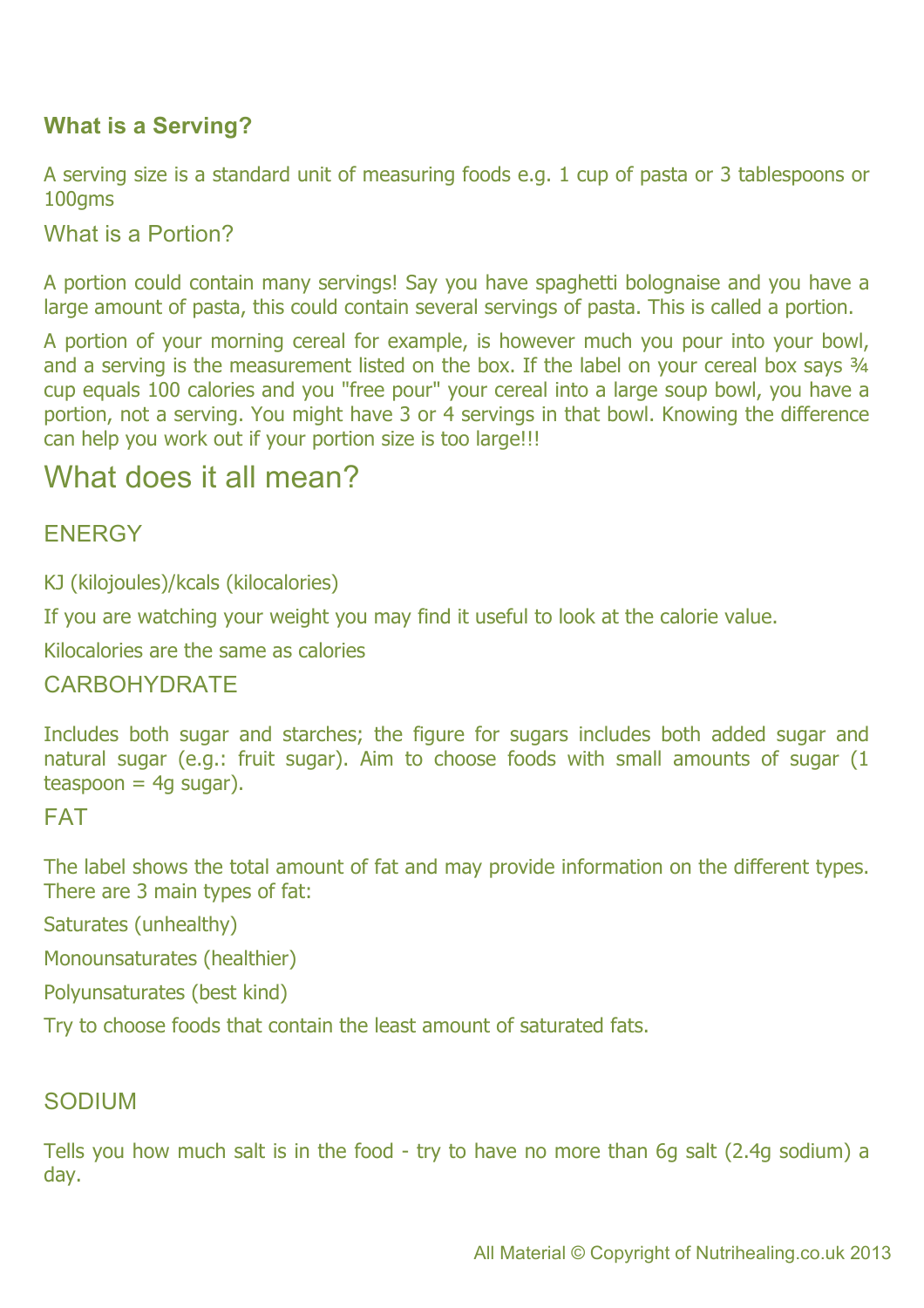## **What is a Serving?**

A serving size is a standard unit of measuring foods e.g. 1 cup of pasta or 3 tablespoons or 100gms

What is a Portion?

A portion could contain many servings! Say you have spaghetti bolognaise and you have a large amount of pasta, this could contain several servings of pasta. This is called a portion.

A portion of your morning cereal for example, is however much you pour into your bowl, and a serving is the measurement listed on the box. If the label on your cereal box says 3/4 cup equals 100 calories and you "free pour" your cereal into a large soup bowl, you have a portion, not a serving. You might have 3 or 4 servings in that bowl. Knowing the difference can help you work out if your portion size is too large!!!

## What does it all mean?

## **ENERGY**

KJ (kilojoules)/kcals (kilocalories)

If you are watching your weight you may find it useful to look at the calorie value.

Kilocalories are the same as calories

## **CARBOHYDRATE**

Includes both sugar and starches; the figure for sugars includes both added sugar and natural sugar (e.g.: fruit sugar). Aim to choose foods with small amounts of sugar (1  $teaspoon = 4g sugar$ ).

FAT

The label shows the total amount of fat and may provide information on the different types. There are 3 main types of fat:

Saturates (unhealthy)

Monounsaturates (healthier)

Polyunsaturates (best kind)

Try to choose foods that contain the least amount of saturated fats.

#### SODIUM

Tells you how much salt is in the food - try to have no more than 6g salt (2.4g sodium) a day.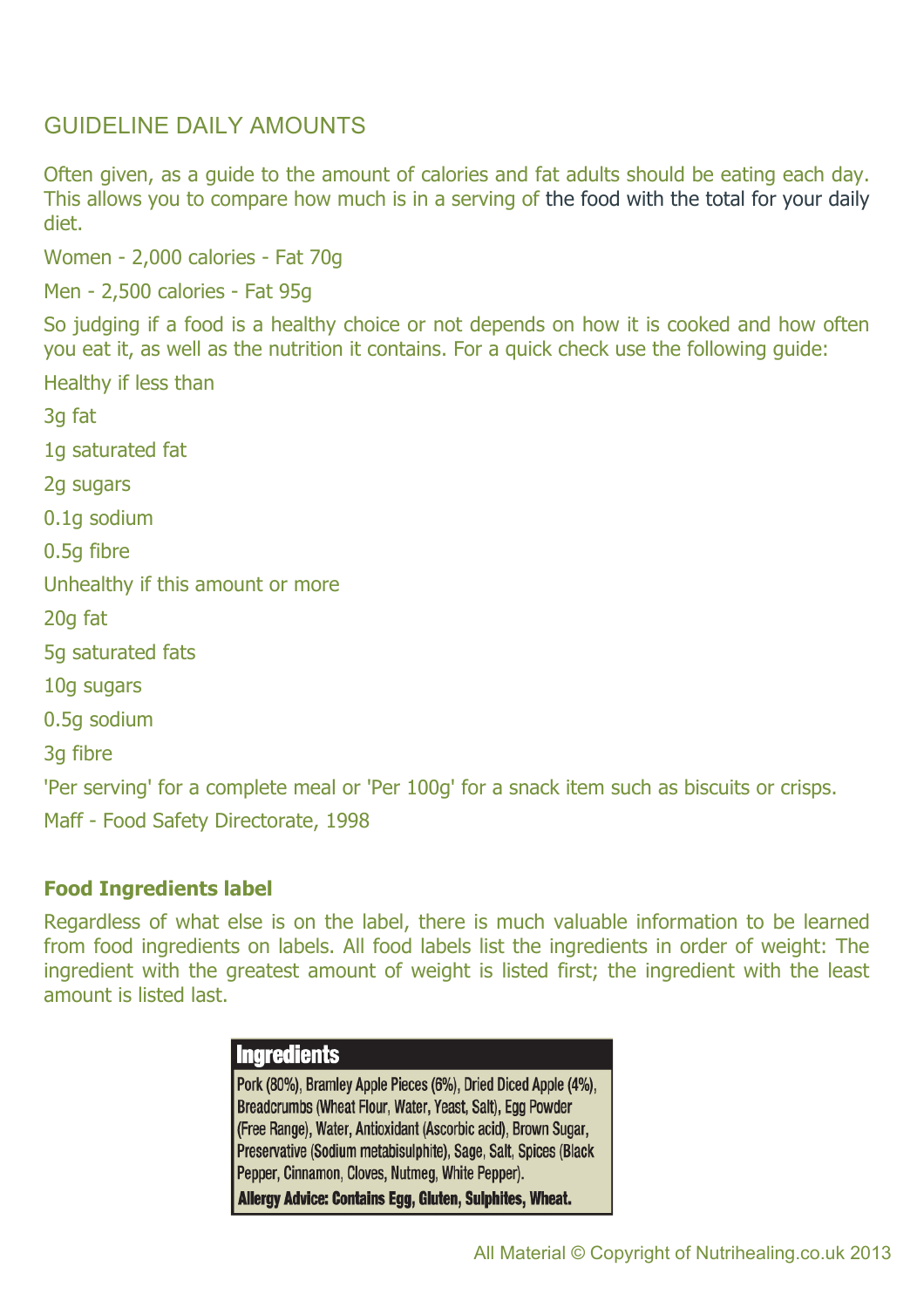## GUIDELINE DAILY AMOUNTS

Often given, as a guide to the amount of calories and fat adults should be eating each day. This allows you to compare how much is in a serving of the food with the total for your daily diet.

Women - 2,000 calories - Fat 70g

Men - 2,500 calories - Fat 95g

So judging if a food is a healthy choice or not depends on how it is cooked and how often you eat it, as well as the nutrition it contains. For a quick check use the following guide:

Healthy if less than

3g fat

1g saturated fat

2g sugars

0.1g sodium

0.5g fibre

Unhealthy if this amount or more

20g fat

5g saturated fats

10g sugars

0.5g sodium

3g fibre

'Per serving' for a complete meal or 'Per 100g' for a snack item such as biscuits or crisps.

Maff - Food Safety Directorate, 1998

#### **Food Ingredients label**

Regardless of what else is on the label, there is much valuable information to be learned from food ingredients on labels. All food labels list the ingredients in order of weight: The ingredient with the greatest amount of weight is listed first; the ingredient with the least amount is listed last.

### **Ingredients** Pork (80%), Bramley Apple Pieces (6%), Dried Diced Apple (4%), Breadcrumbs (Wheat Flour, Water, Yeast, Salt), Egg Powder (Free Range), Water, Antioxidant (Ascorbic acid), Brown Sugar, Preservative (Sodium metabisulphite), Sage, Salt, Spices (Black Pepper, Cinnamon, Cloves, Nutmeg, White Pepper). Allergy Advice: Contains Egg, Gluten, Sulphites, Wheat.